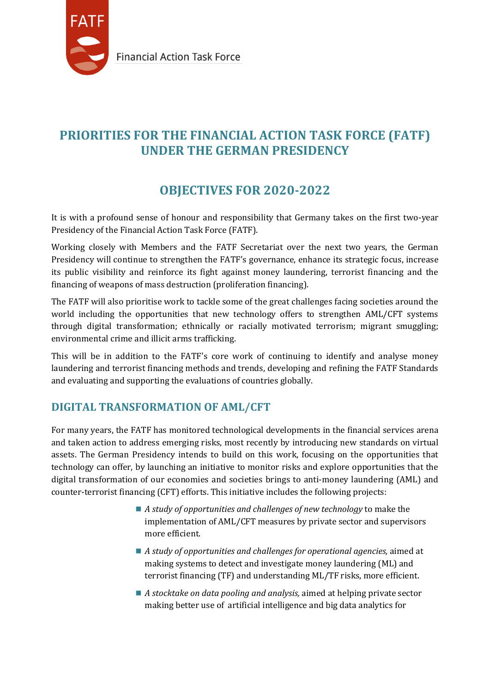

# **PRIORITIES FOR THE FINANCIAL ACTION TASK FORCE (FATF) UNDER THE GERMAN PRESIDENCY**

# **OBJECTIVES FOR 2020-2022**

It is with a profound sense of honour and responsibility that Germany takes on the first two-year Presidency of the Financial Action Task Force (FATF).

Working closely with Members and the FATF Secretariat over the next two years, the German Presidency will continue to strengthen the FATF's governance, enhance its strategic focus, increase its public visibility and reinforce its fight against money laundering, terrorist financing and the financing of weapons of mass destruction (proliferation financing).

The FATF will also prioritise work to tackle some of the great challenges facing societies around the world including the opportunities that new technology offers to strengthen AML/CFT systems through digital transformation; ethnically or racially motivated terrorism; migrant smuggling; environmental crime and illicit arms trafficking.

This will be in addition to the FATF's core work of continuing to identify and analyse money laundering and terrorist financing methods and trends, developing and refining the FATF Standards and evaluating and supporting the evaluations of countries globally.

## **DIGITAL TRANSFORMATION OF AML/CFT**

For many years, the FATF has monitored technological developments in the financial services arena and taken action to address emerging risks, most recently by introducing new standards on virtual assets. The German Presidency intends to build on this work, focusing on the opportunities that technology can offer, by launching an initiative to monitor risks and explore opportunities that the digital transformation of our economies and societies brings to anti-money laundering (AML) and counter-terrorist financing (CFT) efforts. This initiative includes the following projects:

- *A study of opportunities and challenges of new technology* to make the implementation of AML/CFT measures by private sector and supervisors more efficient.
- *A study of opportunities and challenges for operational agencies,* aimed at making systems to detect and investigate money laundering (ML) and terrorist financing (TF) and understanding ML/TF risks, more efficient.
- *A stocktake on data pooling and analysis,* aimed at helping private sector making better use of artificial intelligence and big data analytics for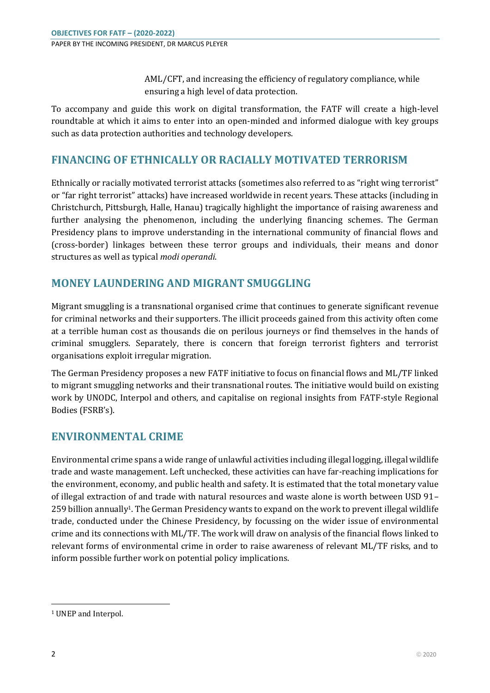AML/CFT, and increasing the efficiency of regulatory compliance, while ensuring a high level of data protection.

To accompany and guide this work on digital transformation, the FATF will create a high-level roundtable at which it aims to enter into an open-minded and informed dialogue with key groups such as data protection authorities and technology developers.

### **FINANCING OF ETHNICALLY OR RACIALLY MOTIVATED TERRORISM**

Ethnically or racially motivated terrorist attacks (sometimes also referred to as "right wing terrorist" or "far right terrorist" attacks) have increased worldwide in recent years. These attacks (including in Christchurch, Pittsburgh, Halle, Hanau) tragically highlight the importance of raising awareness and further analysing the phenomenon, including the underlying financing schemes. The German Presidency plans to improve understanding in the international community of financial flows and (cross-border) linkages between these terror groups and individuals, their means and donor structures as well as typical *modi operandi*.

## **MONEY LAUNDERING AND MIGRANT SMUGGLING**

Migrant smuggling is a transnational organised crime that continues to generate significant revenue for criminal networks and their supporters. The illicit proceeds gained from this activity often come at a terrible human cost as thousands die on perilous journeys or find themselves in the hands of criminal smugglers. Separately, there is concern that foreign terrorist fighters and terrorist organisations exploit irregular migration.

The German Presidency proposes a new FATF initiative to focus on financial flows and ML/TF linked to migrant smuggling networks and their transnational routes. The initiative would build on existing work by UNODC, Interpol and others, and capitalise on regional insights from FATF-style Regional Bodies (FSRB's).

#### **ENVIRONMENTAL CRIME**

Environmental crime spans a wide range of unlawful activities including illegal logging, illegal wildlife trade and waste management. Left unchecked, these activities can have far-reaching implications for the environment, economy, and public health and safety. It is estimated that the total monetary value of illegal extraction of and trade with natural resources and waste alone is worth between USD 91–  $259$  billion annually<sup>1</sup>. The German Presidency wants to expand on the work to prevent illegal wildlife trade, conducted under the Chinese Presidency, by focussing on the wider issue of environmental crime and its connections with ML/TF. The work will draw on analysis of the financial flows linked to relevant forms of environmental crime in order to raise awareness of relevant ML/TF risks, and to inform possible further work on potential policy implications.

l

<sup>&</sup>lt;sup>1</sup> UNEP and Interpol.